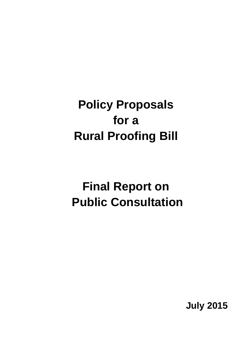# **Policy Proposals for a Rural Proofing Bill**

# **Final Report on Public Consultation**

**July 2015**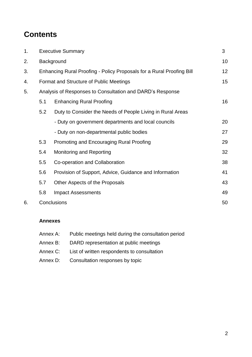## **Contents**

| 1. |                                                           | <b>Executive Summary</b>                                              |    |  |
|----|-----------------------------------------------------------|-----------------------------------------------------------------------|----|--|
| 2. |                                                           | Background                                                            |    |  |
| 3. |                                                           | Enhancing Rural Proofing - Policy Proposals for a Rural Proofing Bill |    |  |
| 4. |                                                           | Format and Structure of Public Meetings                               |    |  |
| 5. | Analysis of Responses to Consultation and DARD's Response |                                                                       |    |  |
|    | 5.1                                                       | <b>Enhancing Rural Proofing</b>                                       | 16 |  |
|    | 5.2                                                       | Duty to Consider the Needs of People Living in Rural Areas            |    |  |
|    |                                                           | - Duty on government departments and local councils                   | 20 |  |
|    |                                                           | - Duty on non-departmental public bodies                              | 27 |  |
|    | 5.3                                                       | Promoting and Encouraging Rural Proofing                              | 29 |  |
|    | 5.4                                                       | Monitoring and Reporting                                              | 32 |  |
|    | 5.5                                                       | Co-operation and Collaboration                                        | 38 |  |
|    | 5.6                                                       | Provision of Support, Advice, Guidance and Information                | 41 |  |
|    | 5.7                                                       | Other Aspects of the Proposals                                        | 43 |  |
|    | 5.8                                                       | <b>Impact Assessments</b>                                             | 49 |  |
| 6. | Conclusions                                               |                                                                       | 50 |  |

#### **Annexes**

| Annex A: | Public meetings held during the consultation period |
|----------|-----------------------------------------------------|
| Annex B: | DARD representation at public meetings              |
| Annex C: | List of written respondents to consultation         |
| Annex D: | Consultation responses by topic                     |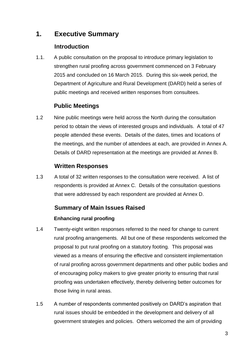### **1. Executive Summary**

### **Introduction**

1.1. A public consultation on the proposal to introduce primary legislation to strengthen rural proofing across government commenced on 3 February 2015 and concluded on 16 March 2015. During this six-week period, the Department of Agriculture and Rural Development (DARD) held a series of public meetings and received written responses from consultees.

### **Public Meetings**

1.2 Nine public meetings were held across the North during the consultation period to obtain the views of interested groups and individuals. A total of 47 people attended these events. Details of the dates, times and locations of the meetings, and the number of attendees at each, are provided in Annex A. Details of DARD representation at the meetings are provided at Annex B.

### **Written Responses**

1.3 A total of 32 written responses to the consultation were received. A list of respondents is provided at Annex C. Details of the consultation questions that were addressed by each respondent are provided at Annex D.

#### **Summary of Main Issues Raised**

#### **Enhancing rural proofing**

- 1.4 Twenty-eight written responses referred to the need for change to current rural proofing arrangements. All but one of these respondents welcomed the proposal to put rural proofing on a statutory footing. This proposal was viewed as a means of ensuring the effective and consistent implementation of rural proofing across government departments and other public bodies and of encouraging policy makers to give greater priority to ensuring that rural proofing was undertaken effectively, thereby delivering better outcomes for those living in rural areas.
- 1.5 A number of respondents commented positively on DARD's aspiration that rural issues should be embedded in the development and delivery of all government strategies and policies. Others welcomed the aim of providing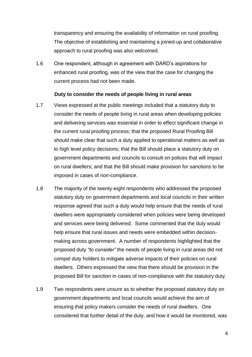transparency and ensuring the availability of information on rural proofing. The objective of establishing and maintaining a joined-up and collaborative approach to rural proofing was also welcomed.

1.6 One respondent, although in agreement with DARD's aspirations for enhanced rural proofing, was of the view that the case for changing the current process had not been made.

#### **Duty to consider the needs of people living in rural areas**

- 1.7 Views expressed at the public meetings included that a statutory duty to consider the needs of people living in rural areas when developing policies and delivering services was essential in order to effect significant change in the current rural proofing process; that the proposed Rural Proofing Bill should make clear that such a duty applied to operational matters as well as to high level policy decisions; that the Bill should place a statutory duty on government departments and councils to consult on polices that will impact on rural dwellers; and that the Bill should make provision for sanctions to be imposed in cases of non-compliance.
- 1.8 The majority of the twenty-eight respondents who addressed the proposed statutory duty on government departments and local councils in their written response agreed that such a duty would help ensure that the needs of rural dwellers were appropriately considered when policies were being developed and services were being delivered. Some commented that the duty would help ensure that rural issues and needs were embedded within decisionmaking across government. A number of respondents highlighted that the proposed duty *"to consider"* the needs of people living in rural areas did not compel duty holders to mitigate adverse impacts of their policies on rural dwellers. Others expressed the view that there should be provision in the proposed Bill for sanction in cases of non-compliance with the statutory duty.
- 1.9 Two respondents were unsure as to whether the proposed statutory duty on government departments and local councils would achieve the aim of ensuring that policy makers consider the needs of rural dwellers. One considered that further detail of the duty, and how it would be monitored, was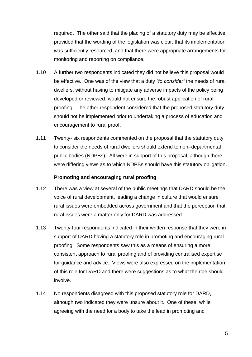required. The other said that the placing of a statutory duty may be effective, provided that the wording of the legislation was clear; that its implementation was sufficiently resourced; and that there were appropriate arrangements for monitoring and reporting on compliance.

- 1.10 A further two respondents indicated they did not believe this proposal would be effective. One was of the view that a duty *"to consider"* the needs of rural dwellers, without having to mitigate any adverse impacts of the policy being developed or reviewed, would not ensure the robust application of rural proofing. The other respondent considered that the proposed statutory duty should not be implemented prior to undertaking a process of education and encouragement to rural proof.
- 1.11 Twenty- six respondents commented on the proposal that the statutory duty to consider the needs of rural dwellers should extend to non–departmental public bodies (NDPBs). All were in support of this proposal, although there were differing views as to which NDPBs should have this statutory obligation.

#### **Promoting and encouraging rural proofing**

- 1.12 There was a view at several of the public meetings that DARD should be the voice of rural development, leading a change in culture that would ensure rural issues were embedded across government and that the perception that rural issues were a matter only for DARD was addressed.
- 1.13 Twenty-four respondents indicated in their written response that they were in support of DARD having a statutory role in promoting and encouraging rural proofing. Some respondents saw this as a means of ensuring a more consistent approach to rural proofing and of providing centralised expertise for guidance and advice. Views were also expressed on the implementation of this role for DARD and there were suggestions as to what the role should involve.
- 1.14 No respondents disagreed with this proposed statutory role for DARD, although two indicated they were unsure about it. One of these, while agreeing with the need for a body to take the lead in promoting and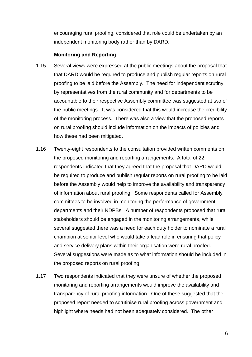encouraging rural proofing, considered that role could be undertaken by an independent monitoring body rather than by DARD.

#### **Monitoring and Reporting**

- 1.15 Several views were expressed at the public meetings about the proposal that that DARD would be required to produce and publish regular reports on rural proofing to be laid before the Assembly. The need for independent scrutiny by representatives from the rural community and for departments to be accountable to their respective Assembly committee was suggested at two of the public meetings. It was considered that this would increase the credibility of the monitoring process. There was also a view that the proposed reports on rural proofing should include information on the impacts of policies and how these had been mitigated.
- 1.16 Twenty-eight respondents to the consultation provided written comments on the proposed monitoring and reporting arrangements. A total of 22 respondents indicated that they agreed that the proposal that DARD would be required to produce and publish regular reports on rural proofing to be laid before the Assembly would help to improve the availability and transparency of information about rural proofing. Some respondents called for Assembly committees to be involved in monitoring the performance of government departments and their NDPBs. A number of respondents proposed that rural stakeholders should be engaged in the monitoring arrangements, while several suggested there was a need for each duty holder to nominate a rural champion at senior level who would take a lead role in ensuring that policy and service delivery plans within their organisation were rural proofed. Several suggestions were made as to what information should be included in the proposed reports on rural proofing.
- 1.17 Two respondents indicated that they were unsure of whether the proposed monitoring and reporting arrangements would improve the availability and transparency of rural proofing information. One of these suggested that the proposed report needed to scrutinise rural proofing across government and highlight where needs had not been adequately considered. The other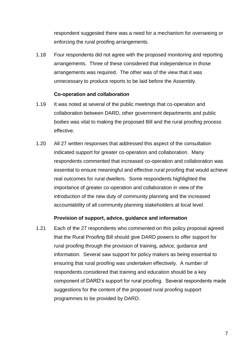respondent suggested there was a need for a mechanism for overseeing or enforcing the rural proofing arrangements.

1.18 Four respondents did not agree with the proposed monitoring and reporting arrangements. Three of these considered that independence in those arrangements was required. The other was of the view that it was unnecessary to produce reports to be laid before the Assembly.

#### **Co-operation and collaboration**

- 1.19 It was noted at several of the public meetings that co-operation and collaboration between DARD, other government departments and public bodies was vital to making the proposed Bill and the rural proofing process effective.
- 1.20 All 27 written responses that addressed this aspect of the consultation indicated support for greater co-operation and collaboration. Many respondents commented that increased co-operation and collaboration was essential to ensure meaningful and effective rural proofing that would achieve real outcomes for rural dwellers. Some respondents highlighted the importance of greater co-operation and collaboration in view of the introduction of the new duty of community planning and the increased accountability of all community planning stakeholders at local level.

#### **Provision of support, advice, guidance and information**

1.21 Each of the 27 respondents who commented on this policy proposal agreed that the Rural Proofing Bill should give DARD powers to offer support for rural proofing through the provision of training, advice, guidance and information. Several saw support for policy makers as being essential to ensuring that rural proofing was undertaken effectively. A number of respondents considered that training and education should be a key component of DARD's support for rural proofing. Several respondents made suggestions for the content of the proposed rural proofing support programmes to be provided by DARD.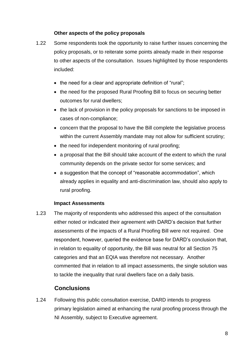#### **Other aspects of the policy proposals**

- 1.22 Some respondents took the opportunity to raise further issues concerning the policy proposals, or to reiterate some points already made in their response to other aspects of the consultation. Issues highlighted by those respondents included:
	- the need for a clear and appropriate definition of "rural";
	- the need for the proposed Rural Proofing Bill to focus on securing better outcomes for rural dwellers;
	- the lack of provision in the policy proposals for sanctions to be imposed in cases of non-compliance;
	- concern that the proposal to have the Bill complete the legislative process within the current Assembly mandate may not allow for sufficient scrutiny;
	- the need for independent monitoring of rural proofing;
	- a proposal that the Bill should take account of the extent to which the rural community depends on the private sector for some services; and
	- a suggestion that the concept of "reasonable accommodation", which already applies in equality and anti-discrimination law, should also apply to rural proofing.

#### **Impact Assessments**

1.23 The majority of respondents who addressed this aspect of the consultation either noted or indicated their agreement with DARD's decision that further assessments of the impacts of a Rural Proofing Bill were not required. One respondent, however, queried the evidence base for DARD's conclusion that, in relation to equality of opportunity, the Bill was neutral for all Section 75 categories and that an EQIA was therefore not necessary. Another commented that in relation to all impact assessments, the single solution was to tackle the inequality that rural dwellers face on a daily basis.

#### **Conclusions**

1.24 Following this public consultation exercise, DARD intends to progress primary legislation aimed at enhancing the rural proofing process through the NI Assembly, subject to Executive agreement.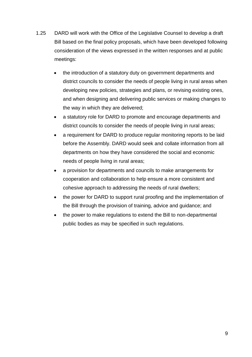- 1.25 DARD will work with the Office of the Legislative Counsel to develop a draft Bill based on the final policy proposals, which have been developed following consideration of the views expressed in the written responses and at public meetings:
	- the introduction of a statutory duty on government departments and district councils to consider the needs of people living in rural areas when developing new policies, strategies and plans, or revising existing ones, and when designing and delivering public services or making changes to the way in which they are delivered;
	- a statutory role for DARD to promote and encourage departments and district councils to consider the needs of people living in rural areas;
	- a requirement for DARD to produce regular monitoring reports to be laid before the Assembly. DARD would seek and collate information from all departments on how they have considered the social and economic needs of people living in rural areas;
	- a provision for departments and councils to make arrangements for cooperation and collaboration to help ensure a more consistent and cohesive approach to addressing the needs of rural dwellers;
	- the power for DARD to support rural proofing and the implementation of the Bill through the provision of training, advice and guidance; and
	- the power to make regulations to extend the Bill to non-departmental public bodies as may be specified in such regulations.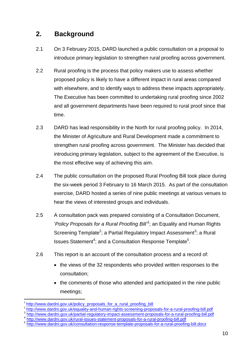### **2. Background**

- 2.1 On 3 February 2015, DARD launched a public consultation on a proposal to introduce primary legislation to strengthen rural proofing across government.
- 2.2 Rural proofing is the process that policy makers use to assess whether proposed policy is likely to have a different impact in rural areas compared with elsewhere, and to identify ways to address these impacts appropriately. The Executive has been committed to undertaking rural proofing since 2002 and all government departments have been required to rural proof since that time.
- 2.3 DARD has lead responsibility in the North for rural proofing policy. In 2014, the Minister of Agriculture and Rural Development made a commitment to strengthen rural proofing across government. The Minister has decided that introducing primary legislation, subject to the agreement of the Executive, is the most effective way of achieving this aim.
- 2.4 The public consultation on the proposed Rural Proofing Bill took place during the six-week period 3 February to 16 March 2015. As part of the consultation exercise, DARD hosted a series of nine public meetings at various venues to hear the views of interested groups and individuals.
- 2.5 A consultation pack was prepared consisting of a Consultation Document, '*Policy Proposals for a Rural Proofing Bill' 1* ; an Equality and Human Rights Screening Template<sup>2</sup>; a Partial Regulatory Impact Assessment<sup>3</sup>; a Rural Issues Statement<sup>4</sup>; and a Consultation Response Template<sup>5</sup>.
- 2.6 This report is an account of the consultation process and a record of:
	- the views of the 32 respondents who provided written responses to the consultation;
	- the comments of those who attended and participated in the nine public meetings;

1

<sup>1</sup> [http://www.dardni.gov.uk/policy\\_proposals\\_for\\_a\\_rural\\_proofing\\_bill](http://www.dardni.gov.uk/policy_proposals_for_a_rural_proofing_bill)\_

<sup>&</sup>lt;sup>2</sup> <http://www.dardni.gov.uk/equality-and-human-rights-screening-proposals-for-a-rural-proofing-bill.pdf>

<sup>&</sup>lt;sup>3</sup> <http://www.dardni.gov.uk/partial-regulatory-impact-assessment-proposals-for-a-rural-proofing-bill.pdf>

<sup>&</sup>lt;sup>4</sup> <http://www.dardni.gov.uk/rural-issues-statement-proposals-for-a-rural-proofing-bill.pdf>

<sup>&</sup>lt;sup>5</sup> <http://www.dardni.gov.uk/consultation-response-template-proposals-for-a-rural-proofing-bill.docx>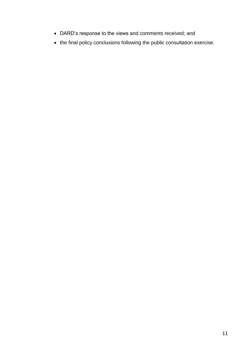- DARD's response to the views and comments received; and
- the final policy conclusions following the public consultation exercise.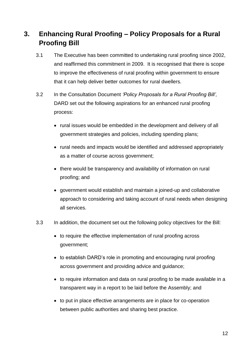### **3. Enhancing Rural Proofing – Policy Proposals for a Rural Proofing Bill**

- 3.1 The Executive has been committed to undertaking rural proofing since 2002, and reaffirmed this commitment in 2009. It is recognised that there is scope to improve the effectiveness of rural proofing within government to ensure that it can help deliver better outcomes for rural dwellers.
- 3.2 In the Consultation Document *'Policy Proposals for a Rural Proofing Bill',*  DARD set out the following aspirations for an enhanced rural proofing process:
	- rural issues would be embedded in the development and delivery of all government strategies and policies, including spending plans;
	- rural needs and impacts would be identified and addressed appropriately as a matter of course across government;
	- there would be transparency and availability of information on rural proofing; and
	- government would establish and maintain a joined-up and collaborative approach to considering and taking account of rural needs when designing all services.
- 3.3 In addition, the document set out the following policy objectives for the Bill:
	- to require the effective implementation of rural proofing across government;
	- to establish DARD's role in promoting and encouraging rural proofing across government and providing advice and guidance;
	- to require information and data on rural proofing to be made available in a transparent way in a report to be laid before the Assembly; and
	- to put in place effective arrangements are in place for co-operation between public authorities and sharing best practice.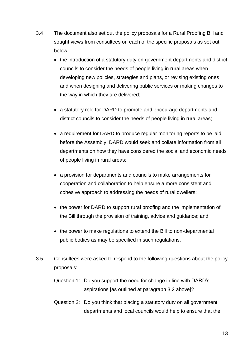- 3.4 The document also set out the policy proposals for a Rural Proofing Bill and sought views from consultees on each of the specific proposals as set out below:
	- the introduction of a statutory duty on government departments and district councils to consider the needs of people living in rural areas when developing new policies, strategies and plans, or revising existing ones, and when designing and delivering public services or making changes to the way in which they are delivered;
	- a statutory role for DARD to promote and encourage departments and district councils to consider the needs of people living in rural areas;
	- a requirement for DARD to produce regular monitoring reports to be laid before the Assembly. DARD would seek and collate information from all departments on how they have considered the social and economic needs of people living in rural areas;
	- a provision for departments and councils to make arrangements for cooperation and collaboration to help ensure a more consistent and cohesive approach to addressing the needs of rural dwellers;
	- the power for DARD to support rural proofing and the implementation of the Bill through the provision of training, advice and guidance; and
	- the power to make regulations to extend the Bill to non-departmental public bodies as may be specified in such regulations.
- 3.5 Consultees were asked to respond to the following questions about the policy proposals:
	- Question 1: Do you support the need for change in line with DARD's aspirations [as outlined at paragraph 3.2 above]?
	- Question 2: Do you think that placing a statutory duty on all government departments and local councils would help to ensure that the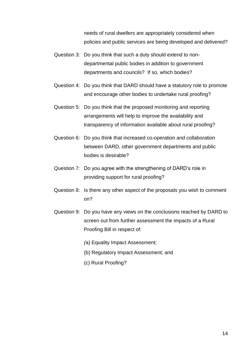needs of rural dwellers are appropriately considered when policies and public services are being developed and delivered?

- Question 3: Do you think that such a duty should extend to nondepartmental public bodies in addition to government departments and councils? If so, which bodies?
- Question 4: Do you think that DARD should have a statutory role to promote and encourage other bodies to undertake rural proofing?
- Question 5: Do you think that the proposed monitoring and reporting arrangements will help to improve the availability and transparency of information available about rural proofing?
- Question 6: Do you think that increased co-operation and collaboration between DARD, other government departments and public bodies is desirable?
- Question 7: Do you agree with the strengthening of DARD's role in providing support for rural proofing?
- Question 8: Is there any other aspect of the proposals you wish to comment on?
- Question 9: Do you have any views on the conclusions reached by DARD to screen out from further assessment the impacts of a Rural Proofing Bill in respect of:
	- *(*a) Equality Impact Assessment;
	- (b) Regulatory Impact Assessment; and
	- (c) Rural Proofing?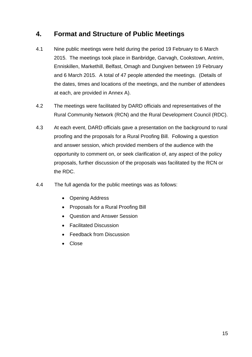### **4. Format and Structure of Public Meetings**

- 4.1 Nine public meetings were held during the period 19 February to 6 March 2015. The meetings took place in Banbridge, Garvagh, Cookstown, Antrim, Enniskillen, Markethill, Belfast, Omagh and Dungiven between 19 February and 6 March 2015. A total of 47 people attended the meetings. (Details of the dates, times and locations of the meetings, and the number of attendees at each, are provided in Annex A).
- 4.2 The meetings were facilitated by DARD officials and representatives of the Rural Community Network (RCN) and the Rural Development Council (RDC).
- 4.3 At each event, DARD officials gave a presentation on the background to rural proofing and the proposals for a Rural Proofing Bill. Following a question and answer session, which provided members of the audience with the opportunity to comment on, or seek clarification of, any aspect of the policy proposals, further discussion of the proposals was facilitated by the RCN or the RDC.
- 4.4 The full agenda for the public meetings was as follows:
	- Opening Address
	- Proposals for a Rural Proofing Bill
	- Question and Answer Session
	- Facilitated Discussion
	- Feedback from Discussion
	- Close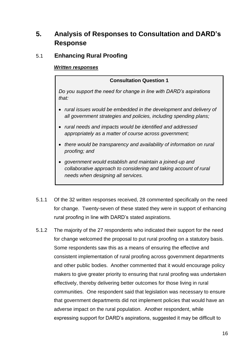### **5. Analysis of Responses to Consultation and DARD's Response**

### 5.1 **Enhancing Rural Proofing**

#### *Written responses*

#### **Consultation Question 1**

*Do you support the need for change in line with DARD's aspirations that:*

- *rural issues would be embedded in the development and delivery of all government strategies and policies, including spending plans;*
- *rural needs and impacts would be identified and addressed appropriately as a matter of course across government;*
- *there would be transparency and availability of information on rural proofing; and*
- *government would establish and maintain a joined-up and collaborative approach to considering and taking account of rural needs when designing all services.*
- 5.1.1 Of the 32 written responses received, 28 commented specifically on the need for change. Twenty-seven of these stated they were in support of enhancing rural proofing in line with DARD's stated aspirations.
- 5.1.2 The majority of the 27 respondents who indicated their support for the need for change welcomed the proposal to put rural proofing on a statutory basis. Some respondents saw this as a means of ensuring the effective and consistent implementation of rural proofing across government departments and other public bodies. Another commented that it would encourage policy makers to give greater priority to ensuring that rural proofing was undertaken effectively, thereby delivering better outcomes for those living in rural communities. One respondent said that legislation was necessary to ensure that government departments did not implement policies that would have an adverse impact on the rural population. Another respondent, while expressing support for DARD's aspirations, suggested it may be difficult to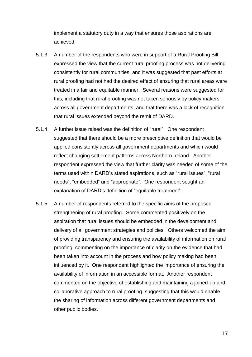implement a statutory duty in a way that ensures those aspirations are achieved.

- 5.1.3 A number of the respondents who were in support of a Rural Proofing Bill expressed the view that the current rural proofing process was not delivering consistently for rural communities, and it was suggested that past efforts at rural proofing had not had the desired effect of ensuring that rural areas were treated in a fair and equitable manner. Several reasons were suggested for this, including that rural proofing was not taken seriously by policy makers across all government departments, and that there was a lack of recognition that rural issues extended beyond the remit of DARD.
- 5.1.4 A further issue raised was the definition of "rural". One respondent suggested that there should be a more prescriptive definition that would be applied consistently across all government departments and which would reflect changing settlement patterns across Northern Ireland. Another respondent expressed the view that further clarity was needed of some of the terms used within DARD's stated aspirations, such as "rural issues", "rural needs", "embedded" and "appropriate". One respondent sought an explanation of DARD's definition of "equitable treatment".
- 5.1.5 A number of respondents referred to the specific aims of the proposed strengthening of rural proofing. Some commented positively on the aspiration that rural issues should be embedded in the development and delivery of all government strategies and policies. Others welcomed the aim of providing transparency and ensuring the availability of information on rural proofing, commenting on the importance of clarity on the evidence that had been taken into account in the process and how policy making had been influenced by it. One respondent highlighted the importance of ensuring the availability of information in an accessible format. Another respondent commented on the objective of establishing and maintaining a joined-up and collaborative approach to rural proofing, suggesting that this would enable the sharing of information across different government departments and other public bodies.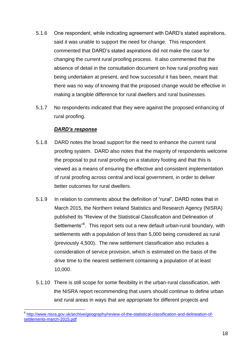- 5.1.6 One respondent, while indicating agreement with DARD's stated aspirations, said it was unable to support the need for change. This respondent commented that DARD's stated aspirations did not make the case for changing the current rural proofing process. It also commented that the absence of detail in the consultation document on how rural proofing was being undertaken at present, and how successful it has been, meant that there was no way of knowing that the proposed change would be effective in making a tangible difference for rural dwellers and rural businesses.
- 5.1.7 No respondents indicated that they were against the proposed enhancing of rural proofing.

#### *DARD's response*

- 5.1.8 DARD notes the broad support for the need to enhance the current rural proofing system. DARD also notes that the majority of respondents welcome the proposal to put rural proofing on a statutory footing and that this is viewed as a means of ensuring the effective and consistent implementation of rural proofing across central and local government, in order to deliver better outcomes for rural dwellers.
- 5.1.9 In relation to comments about the definition of "rural", DARD notes that in March 2015, the Northern Ireland Statistics and Research Agency (NISRA) published its "Review of the Statistical Classification and Delineation of Settlements<sup>"6</sup>. This report sets out a new default urban-rural boundary, with settlements with a population of less than 5,000 being considered as rural (previously 4,500). The new settlement classification also includes a consideration of service provision, which is estimated on the basis of the drive time to the nearest settlement containing a population of at least 10,000.
- 5.1.10 There is still scope for some flexibility in the urban-rural classification, with the NISRA report recommending that users should continue to define urban and rural areas in ways that are appropriate for different projects and

<sup>–&</sup>lt;br><sup>6</sup> [http://www.nisra.gov.uk/archive/geography/review-of-the-statistical-classification-and-delineation-of](http://www.nisra.gov.uk/archive/geography/review-of-the-statistical-classification-and-delineation-of-settlements-march-2015.pdf)[settlements-march-2015.pdf](http://www.nisra.gov.uk/archive/geography/review-of-the-statistical-classification-and-delineation-of-settlements-march-2015.pdf)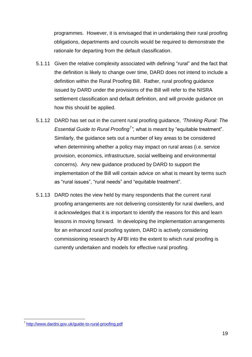programmes. However, it is envisaged that in undertaking their rural proofing obligations, departments and councils would be required to demonstrate the rationale for departing from the default classification.

- 5.1.11 Given the relative complexity associated with defining "rural" and the fact that the definition is likely to change over time, DARD does not intend to include a definition within the Rural Proofing Bill. Rather, rural proofing guidance issued by DARD under the provisions of the Bill will refer to the NISRA settlement classification and default definition, and will provide guidance on how this should be applied.
- 5.1.12 DARD has set out in the current rural proofing guidance, *'Thinking Rural: The Essential Guide to Rural Proofing<sup>7</sup>"*, what is meant by "equitable treatment". Similarly, the guidance sets out a number of key areas to be considered when determining whether a policy may impact on rural areas (i.e. service provision, economics, infrastructure, social wellbeing and environmental concerns). Any new guidance produced by DARD to support the implementation of the Bill will contain advice on what is meant by terms such as "rural issues", "rural needs" and "equitable treatment".
- 5.1.13 DARD notes the view held by many respondents that the current rural proofing arrangements are not delivering consistently for rural dwellers, and it acknowledges that it is important to identify the reasons for this and learn lessons in moving forward. In developing the implementation arrangements for an enhanced rural proofing system, DARD is actively considering commissioning research by AFBI into the extent to which rural proofing is currently undertaken and models for effective rural proofing.

<sup>-&</sup>lt;br><sup>7</sup> <http://www.dardni.gov.uk/guide-to-rural-proofing.pdf>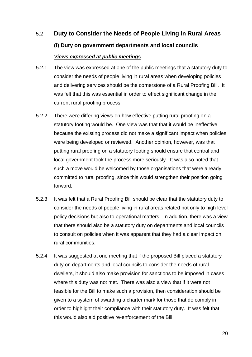# 5.2 **Duty to Consider the Needs of People Living in Rural Areas (i) Duty on government departments and local councils** *Views expressed at public meetings*

- 5.2.1 The view was expressed at one of the public meetings that a statutory duty to consider the needs of people living in rural areas when developing policies and delivering services should be the cornerstone of a Rural Proofing Bill. It was felt that this was essential in order to effect significant change in the current rural proofing process.
- 5.2.2 There were differing views on how effective putting rural proofing on a statutory footing would be. One view was that that it would be ineffective because the existing process did not make a significant impact when policies were being developed or reviewed. Another opinion, however, was that putting rural proofing on a statutory footing should ensure that central and local government took the process more seriously. It was also noted that such a move would be welcomed by those organisations that were already committed to rural proofing, since this would strengthen their position going forward.
- 5.2.3 It was felt that a Rural Proofing Bill should be clear that the statutory duty to consider the needs of people living in rural areas related not only to high level policy decisions but also to operational matters. In addition, there was a view that there should also be a statutory duty on departments and local councils to consult on policies when it was apparent that they had a clear impact on rural communities.
- 5.2.4 It was suggested at one meeting that if the proposed Bill placed a statutory duty on departments and local councils to consider the needs of rural dwellers, it should also make provision for sanctions to be imposed in cases where this duty was not met. There was also a view that if it were not feasible for the Bill to make such a provision, then consideration should be given to a system of awarding a charter mark for those that do comply in order to highlight their compliance with their statutory duty. It was felt that this would also aid positive re-enforcement of the Bill.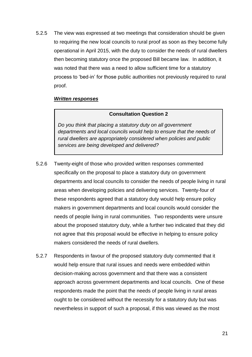5.2.5 The view was expressed at two meetings that consideration should be given to requiring the new local councils to rural proof as soon as they become fully operational in April 2015, with the duty to consider the needs of rural dwellers then becoming statutory once the proposed Bill became law. In addition, it was noted that there was a need to allow sufficient time for a statutory process to 'bed-in' for those public authorities not previously required to rural proof.

#### *Written responses*

#### **Consultation Question 2**

*Do you think that placing a statutory duty on all government departments and local councils would help to ensure that the needs of rural dwellers are appropriately considered when policies and public services are being developed and delivered?*

- 5.2.6 Twenty-eight of those who provided written responses commented specifically on the proposal to place a statutory duty on government departments and local councils to consider the needs of people living in rural areas when developing policies and delivering services. Twenty-four of these respondents agreed that a statutory duty would help ensure policy makers in government departments and local councils would consider the needs of people living in rural communities. Two respondents were unsure about the proposed statutory duty, while a further two indicated that they did not agree that this proposal would be effective in helping to ensure policy makers considered the needs of rural dwellers.
- 5.2.7 Respondents in favour of the proposed statutory duty commented that it would help ensure that rural issues and needs were embedded within decision-making across government and that there was a consistent approach across government departments and local councils. One of these respondents made the point that the needs of people living in rural areas ought to be considered without the necessity for a statutory duty but was nevertheless in support of such a proposal, if this was viewed as the most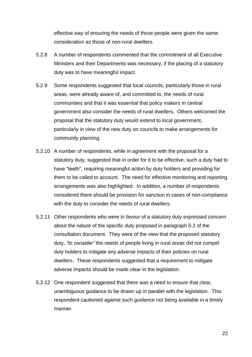effective way of ensuring the needs of those people were given the same consideration as those of non-rural dwellers.

- 5.2.8 A number of respondents commented that the commitment of all Executive Ministers and their Departments was necessary, if the placing of a statutory duty was to have meaningful impact.
- 5.2.9 Some respondents suggested that local councils, particularly those in rural areas, were already aware of, and committed to, the needs of rural communities and that it was essential that policy makers in central government also consider the needs of rural dwellers. Others welcomed the proposal that the statutory duty would extend to local government, particularly in view of the new duty on councils to make arrangements for community planning.
- 5.2.10 A number of respondents, while in agreement with the proposal for a statutory duty, suggested that in order for it to be effective, such a duty had to have "teeth", requiring meaningful action by duty holders and providing for them to be called to account. The need for effective monitoring and reporting arrangements was also highlighted. In addition, a number of respondents considered there should be provision for sanction in cases of non-compliance with the duty to consider the needs of rural dwellers.
- 5.2.11 Other respondents who were in favour of a statutory duty expressed concern about the nature of the specific duty proposed in paragraph 5.2 of the consultation document. They were of the view that the proposed statutory duty, *"to consider"* the needs of people living in rural areas did not compel duty holders to mitigate any adverse impacts of their policies on rural dwellers. These respondents suggested that a requirement to mitigate adverse impacts should be made clear in the legislation.
- 5.2.12 One respondent suggested that there was a need to ensure that clear, unambiguous guidance to be drawn up in parallel with the legislation. This respondent cautioned against such guidance not being available in a timely manner.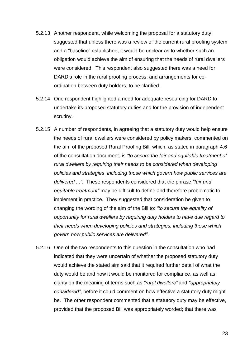- 5.2.13 Another respondent, while welcoming the proposal for a statutory duty, suggested that unless there was a review of the current rural proofing system and a "baseline" established, it would be unclear as to whether such an obligation would achieve the aim of ensuring that the needs of rural dwellers were considered. This respondent also suggested there was a need for DARD's role in the rural proofing process, and arrangements for coordination between duty holders, to be clarified.
- 5.2.14 One respondent highlighted a need for adequate resourcing for DARD to undertake its proposed statutory duties and for the provision of independent scrutiny.
- 5.2.15 A number of respondents, in agreeing that a statutory duty would help ensure the needs of rural dwellers were considered by policy makers, commented on the aim of the proposed Rural Proofing Bill, which, as stated in paragraph 4.6 of the consultation document, is *"to secure the fair and equitable treatment of rural dwellers by requiring their needs to be considered when developing policies and strategies*, *including those which govern how public services are delivered ...".* These respondents considered that the phrase *"fair and equitable treatment"* may be difficult to define and therefore problematic to implement in practice. They suggested that consideration be given to changing the wording of the aim of the Bill to: *"to secure the equality of opportunity for rural dwellers by requiring duty holders to have due regard to their needs when developing policies and strategies, including those which govern how public services are delivered"*.
- 5.2.16 One of the two respondents to this question in the consultation who had indicated that they were uncertain of whether the proposed statutory duty would achieve the stated aim said that it required further detail of what the duty would be and how it would be monitored for compliance, as well as clarity on the meaning of terms such as *"rural dwellers"* and *"appropriately considered"*, before it could comment on how effective a statutory duty might be. The other respondent commented that a statutory duty may be effective, provided that the proposed Bill was appropriately worded; that there was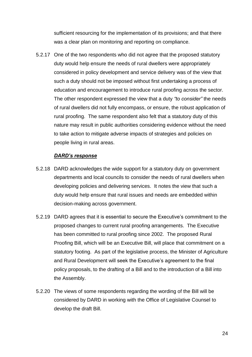sufficient resourcing for the implementation of its provisions; and that there was a clear plan on monitoring and reporting on compliance.

5.2.17 One of the two respondents who did not agree that the proposed statutory duty would help ensure the needs of rural dwellers were appropriately considered in policy development and service delivery was of the view that such a duty should not be imposed without first undertaking a process of education and encouragement to introduce rural proofing across the sector. The other respondent expressed the view that a duty *"to consider"* the needs of rural dwellers did not fully encompass, or ensure, the robust application of rural proofing. The same respondent also felt that a statutory duty of this nature may result in public authorities considering evidence without the need to take action to mitigate adverse impacts of strategies and policies on people living in rural areas.

#### *DARD's response*

- 5.2.18 DARD acknowledges the wide support for a statutory duty on government departments and local councils to consider the needs of rural dwellers when developing policies and delivering services. It notes the view that such a duty would help ensure that rural issues and needs are embedded within decision-making across government.
- 5.2.19 DARD agrees that it is essential to secure the Executive's commitment to the proposed changes to current rural proofing arrangements. The Executive has been committed to rural proofing since 2002. The proposed Rural Proofing Bill, which will be an Executive Bill, will place that commitment on a statutory footing. As part of the legislative process, the Minister of Agriculture and Rural Development will seek the Executive's agreement to the final policy proposals, to the drafting of a Bill and to the introduction of a Bill into the Assembly.
- 5.2.20 The views of some respondents regarding the wording of the Bill will be considered by DARD in working with the Office of Legislative Counsel to develop the draft Bill.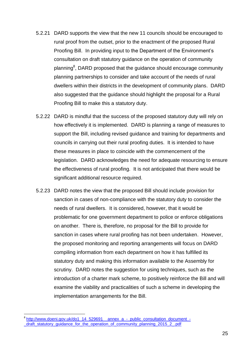- 5.2.21 DARD supports the view that the new 11 councils should be encouraged to rural proof from the outset, prior to the enactment of the proposed Rural Proofing Bill. In providing input to the Department of the Environment's consultation on draft statutory guidance on the operation of community planning<sup>8</sup>, DARD proposed that the guidance should encourage community planning partnerships to consider and take account of the needs of rural dwellers within their districts in the development of community plans. DARD also suggested that the guidance should highlight the proposal for a Rural Proofing Bill to make this a statutory duty.
- 5.2.22 DARD is mindful that the success of the proposed statutory duty will rely on how effectively it is implemented. DARD is planning a range of measures to support the Bill, including revised guidance and training for departments and councils in carrying out their rural proofing duties. It is intended to have these measures in place to coincide with the commencement of the legislation. DARD acknowledges the need for adequate resourcing to ensure the effectiveness of rural proofing. It is not anticipated that there would be significant additional resource required.
- 5.2.23 DARD notes the view that the proposed Bill should include provision for sanction in cases of non-compliance with the statutory duty to consider the needs of rural dwellers. It is considered, however, that it would be problematic for one government department to police or enforce obligations on another. There is, therefore, no proposal for the Bill to provide for sanction in cases where rural proofing has not been undertaken. However, the proposed monitoring and reporting arrangements will focus on DARD compiling information from each department on how it has fulfilled its statutory duty and making this information available to the Assembly for scrutiny. DARD notes the suggestion for using techniques, such as the introduction of a charter mark scheme, to positively reinforce the Bill and will examine the viability and practicalities of such a scheme in developing the implementation arrangements for the Bill.

 8 [http://www.doeni.gov.uk/do1\\_14\\_529691\\_\\_annex\\_a\\_-\\_public\\_consultation\\_document\\_-](http://www.doeni.gov.uk/do1_14_529691__annex_a_-_public_consultation_document_-_draft_statutory_guidance_for_the_operation_of_community_planning_2015_2_.pdf) [\\_draft\\_statutory\\_guidance\\_for\\_the\\_operation\\_of\\_community\\_planning\\_2015\\_2\\_.pdf](http://www.doeni.gov.uk/do1_14_529691__annex_a_-_public_consultation_document_-_draft_statutory_guidance_for_the_operation_of_community_planning_2015_2_.pdf)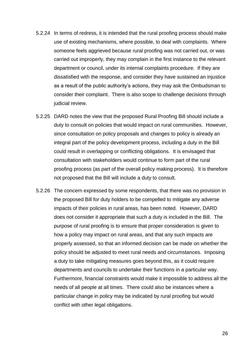- 5.2.24 In terms of redress, it is intended that the rural proofing process should make use of existing mechanisms, where possible, to deal with complaints. Where someone feels aggrieved because rural proofing was not carried out, or was carried out improperly, they may complain in the first instance to the relevant department or council, under its internal complaints procedure. If they are dissatisfied with the response, and consider they have sustained an injustice as a result of the public authority's actions, they may ask the Ombudsman to consider their complaint. There is also scope to challenge decisions through judicial review.
- 5.2.25 DARD notes the view that the proposed Rural Proofing Bill should include a duty to consult on policies that would impact on rural communities. However, since consultation on policy proposals and changes to policy is already an integral part of the policy development process, including a duty in the Bill could result in overlapping or conflicting obligations. It is envisaged that consultation with stakeholders would continue to form part of the rural proofing process (as part of the overall policy making process). It is therefore not proposed that the Bill will include a duty to consult.
- 5.2.26 The concern expressed by some respondents, that there was no provision in the proposed Bill for duty holders to be compelled to mitigate any adverse impacts of their policies in rural areas, has been noted. However, DARD does not consider it appropriate that such a duty is included in the Bill. The purpose of rural proofing is to ensure that proper consideration is given to how a policy may impact on rural areas, and that any such impacts are properly assessed, so that an informed decision can be made on whether the policy should be adjusted to meet rural needs and circumstances. Imposing a duty to take mitigating measures goes beyond this, as it could require departments and councils to undertake their functions in a particular way. Furthermore, financial constraints would make it impossible to address all the needs of all people at all times. There could also be instances where a particular change in policy may be indicated by rural proofing but would conflict with other legal obligations.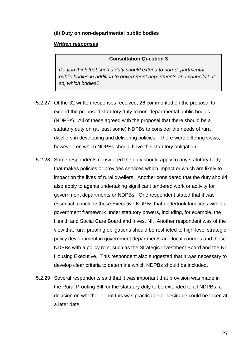#### **(ii) Duty on non-departmental public bodies**

#### *Written responses*

#### **Consultation Question 3**

*Do you think that such a duty should extend to non-departmental public bodies in addition to government departments and councils? If so, which bodies?*

- 5.2.27 Of the 32 written responses received, 26 commented on the proposal to extend the proposed statutory duty to non-departmental public bodies (NDPBs). All of these agreed with the proposal that there should be a statutory duty on (at least some) NDPBs to consider the needs of rural dwellers in developing and delivering policies. There were differing views, however, on which NDPBs should have this statutory obligation.
- 5.2.28 Some respondents considered the duty should apply to any statutory body that makes policies or provides services which impact or which are likely to impact on the lives of rural dwellers. Another considered that the duty should also apply to agents undertaking significant tendered work or activity for government departments or NDPBs. One respondent stated that it was essential to include those Executive NDPBs that undertook functions within a government framework under statutory powers, including, for example, the Health and Social Care Board and Invest NI. Another respondent was of the view that rural proofing obligations should be restricted to high-level strategic policy development in government departments and local councils and those NDPBs with a policy role, such as the Strategic Investment Board and the NI Housing Executive. This respondent also suggested that it was necessary to develop clear criteria to determine which NDPBs should be included.
- 5.2.29 Several respondents said that it was important that provision was made in the Rural Proofing Bill for the statutory duty to be extended to all NDPBs; a decision on whether or not this was practicable or desirable could be taken at a later date.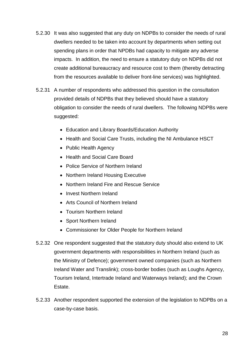- 5.2.30 It was also suggested that any duty on NDPBs to consider the needs of rural dwellers needed to be taken into account by departments when setting out spending plans in order that NPDBs had capacity to mitigate any adverse impacts. In addition, the need to ensure a statutory duty on NDPBs did not create additional bureaucracy and resource cost to them (thereby detracting from the resources available to deliver front-line services) was highlighted.
- 5.2.31 A number of respondents who addressed this question in the consultation provided details of NDPBs that they believed should have a statutory obligation to consider the needs of rural dwellers. The following NDPBs were suggested:
	- Education and Library Boards/Education Authority
	- Health and Social Care Trusts, including the NI Ambulance HSCT
	- Public Health Agency
	- Health and Social Care Board
	- Police Service of Northern Ireland
	- Northern Ireland Housing Executive
	- Northern Ireland Fire and Rescue Service
	- Invest Northern Ireland
	- Arts Council of Northern Ireland
	- Tourism Northern Ireland
	- Sport Northern Ireland
	- Commissioner for Older People for Northern Ireland
- 5.2.32 One respondent suggested that the statutory duty should also extend to UK government departments with responsibilities in Northern Ireland (such as the Ministry of Defence); government owned companies (such as Northern Ireland Water and Translink); cross-border bodies (such as Loughs Agency, Tourism Ireland, Intertrade Ireland and Waterways Ireland); and the Crown Estate.
- 5.2.33 Another respondent supported the extension of the legislation to NDPBs on a case-by-case basis.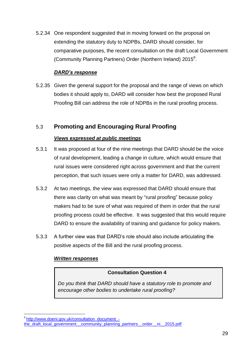5.2.34 One respondent suggested that in moving forward on the proposal on extending the statutory duty to NDPBs, DARD should consider, for comparative purposes, the recent consultation on the draft Local Government (Community Planning Partners) Order (Northern Ireland) 2015<sup>9</sup>.

#### *DARD's response*

5.2.35 Given the general support for the proposal and the range of views on which bodies it should apply to, DARD will consider how best the proposed Rural Proofing Bill can address the role of NDPBs in the rural proofing process.

#### 5.3 **Promoting and Encouraging Rural Proofing**

#### *Views expressed at public meetings*

- 5.3.1 It was proposed at four of the nine meetings that DARD should be the voice of rural development, leading a change in culture, which would ensure that rural issues were considered right across government and that the current perception, that such issues were only a matter for DARD, was addressed.
- 5.3.2 At two meetings, the view was expressed that DARD should ensure that there was clarity on what was meant by "rural proofing" because policy makers had to be sure of what was required of them in order that the rural proofing process could be effective. It was suggested that this would require DARD to ensure the availability of training and guidance for policy makers.
- 5.3.3 A further view was that DARD's role should also include articulating the positive aspects of the Bill and the rural proofing process.

#### *Written responses*

#### **Consultation Question 4**

*Do you think that DARD should have a statutory role to promote and encourage other bodies to undertake rural proofing?*

**<sup>.</sup>** <sup>9</sup> [http://www.doeni.gov.uk/consultation\\_document\\_](http://www.doeni.gov.uk/consultation_document_-the_draft_local_government__community_planning_partners__order__ni__2015.pdf) [the\\_draft\\_local\\_government\\_\\_community\\_planning\\_partners\\_\\_order\\_\\_ni\\_\\_2015.pdf](http://www.doeni.gov.uk/consultation_document_-the_draft_local_government__community_planning_partners__order__ni__2015.pdf)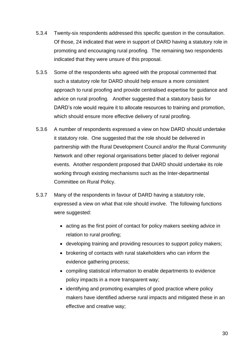- 5.3.4 Twenty-six respondents addressed this specific question in the consultation. Of those, 24 indicated that were in support of DARD having a statutory role in promoting and encouraging rural proofing. The remaining two respondents indicated that they were unsure of this proposal.
- 5.3.5 Some of the respondents who agreed with the proposal commented that such a statutory role for DARD should help ensure a more consistent approach to rural proofing and provide centralised expertise for guidance and advice on rural proofing. Another suggested that a statutory basis for DARD's role would require it to allocate resources to training and promotion, which should ensure more effective delivery of rural proofing.
- 5.3.6 A number of respondents expressed a view on how DARD should undertake it statutory role. One suggested that the role should be delivered in partnership with the Rural Development Council and/or the Rural Community Network and other regional organisations better placed to deliver regional events. Another respondent proposed that DARD should undertake its role working through existing mechanisms such as the Inter-departmental Committee on Rural Policy.
- 5.3.7 Many of the respondents in favour of DARD having a statutory role, expressed a view on what that role should involve. The following functions were suggested:
	- acting as the first point of contact for policy makers seeking advice in relation to rural proofing;
	- developing training and providing resources to support policy makers;
	- brokering of contacts with rural stakeholders who can inform the evidence gathering process;
	- compiling statistical information to enable departments to evidence policy impacts in a more transparent way;
	- identifying and promoting examples of good practice where policy makers have identified adverse rural impacts and mitigated these in an effective and creative way;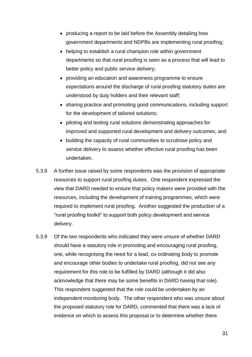- producing a report to be laid before the Assembly detailing how government departments and NDPBs are implementing rural proofing;
- helping to establish a rural champion role within government departments so that rural proofing is seen as a process that will lead to better policy and public service delivery;
- providing an education and awareness programme to ensure expectations around the discharge of rural proofing statutory duties are understood by duty holders and their relevant staff;
- sharing practice and promoting good communications, including support for the development of tailored solutions;
- piloting and testing rural solutions demonstrating approaches for improved and supported rural development and delivery outcomes; and
- building the capacity of rural communities to scrutinise policy and service delivery to assess whether effective rural proofing has been undertaken.
- 5.3.8 A further issue raised by some respondents was the provision of appropriate resources to support rural proofing duties. One respondent expressed the view that DARD needed to ensure that policy makers were provided with the resources, including the development of training programmes, which were required to implement rural proofing. Another suggested the production of a "rural proofing toolkit" to support both policy development and service delivery.
- 5.3.9 Of the two respondents who indicated they were unsure of whether DARD should have a statutory role in promoting and encouraging rural proofing, one, while recognising the need for a lead, co-ordinating body to promote and encourage other bodies to undertake rural proofing, did not see any requirement for this role to be fulfilled by DARD (although it did also acknowledge that there may be some benefits in DARD having that role). This respondent suggested that the role could be undertaken by an independent monitoring body. The other respondent who was unsure about the proposed statutory role for DARD, commented that there was a lack of evidence on which to assess this proposal or to determine whether there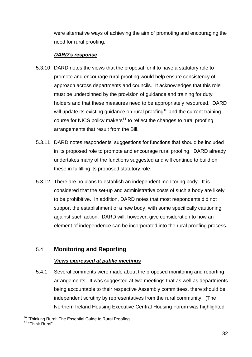were alternative ways of achieving the aim of promoting and encouraging the need for rural proofing.

#### *DARD's response*

- 5.3.10 DARD notes the views that the proposal for it to have a statutory role to promote and encourage rural proofing would help ensure consistency of approach across departments and councils. It acknowledges that this role must be underpinned by the provision of guidance and training for duty holders and that these measures need to be appropriately resourced. DARD will update its existing guidance on rural proofing<sup>10</sup> and the current training course for NICS policy makers<sup>11</sup> to reflect the changes to rural proofing arrangements that result from the Bill.
- 5.3.11 DARD notes respondents' suggestions for functions that should be included in its proposed role to promote and encourage rural proofing. DARD already undertakes many of the functions suggested and will continue to build on these in fulfilling its proposed statutory role.
- 5.3.12 There are no plans to establish an independent monitoring body. It is considered that the set-up and administrative costs of such a body are likely to be prohibitive. In addition, DARD notes that most respondents did not support the establishment of a new body, with some specifically cautioning against such action. DARD will, however, give consideration to how an element of independence can be incorporated into the rural proofing process.

#### 5.4 **Monitoring and Reporting**

#### *Views expressed at public meetings*

5.4.1 Several comments were made about the proposed monitoring and reporting arrangements. It was suggested at two meetings that as well as departments being accountable to their respective Assembly committees, there should be independent scrutiny by representatives from the rural community. (The Northern Ireland Housing Executive Central Housing Forum was highlighted

**<sup>.</sup>** <sup>10</sup> "Thinking Rural: The Essential Guide to Rural Proofing

<sup>&</sup>lt;sup>11</sup> "Think Rural"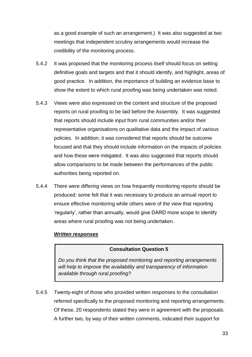as a good example of such an arrangement.) It was also suggested at two meetings that independent scrutiny arrangements would increase the credibility of the monitoring process.

- 5.4.2 It was proposed that the monitoring process itself should focus on setting definitive goals and targets and that it should identify, and highlight, areas of good practice. In addition, the importance of building an evidence base to show the extent to which rural proofing was being undertaken was noted.
- 5.4.3 Views were also expressed on the content and structure of the proposed reports on rural proofing to be laid before the Assembly. It was suggested that reports should include input from rural communities and/or their representative organisations on qualitative data and the impact of various policies. In addition, it was considered that reports should be outcome focused and that they should include information on the impacts of policies and how these were mitigated. It was also suggested that reports should allow comparisons to be made between the performances of the public authorities being reported on.
- 5.4.4 There were differing views on how frequently monitoring reports should be produced: some felt that it was necessary to produce an annual report to ensure effective monitoring while others were of the view that reporting 'regularly', rather than annually, would give DARD more scope to identify areas where rural proofing was not being undertaken.

#### *Written responses*

#### **Consultation Question 5**

**Do you think that the proposed monitoring and reporting arrangements** will help to improve the availability and transparency of information *available through rural proofing?*

5.4.5 Twenty-eight of those who provided written responses to the consultation referred specifically to the proposed monitoring and reporting arrangements. Of these, 20 respondents stated they were in agreement with the proposals. A further two, by way of their written comments, indicated their support for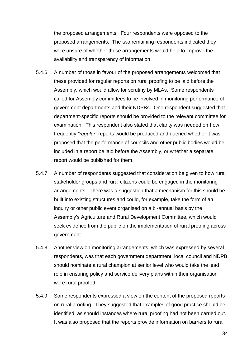the proposed arrangements. Four respondents were opposed to the proposed arrangements. The two remaining respondents indicated they were unsure of whether those arrangements would help to improve the availability and transparency of information.

- 5.4.6 A number of those in favour of the proposed arrangements welcomed that these provided for regular reports on rural proofing to be laid before the Assembly, which would allow for scrutiny by MLAs. Some respondents called for Assembly committees to be involved in monitoring performance of government departments and their NDPBs. One respondent suggested that department-specific reports should be provided to the relevant committee for examination. This respondent also stated that clarity was needed on how frequently *"regular"* reports would be produced and queried whether it was proposed that the performance of councils and other public bodies would be included in a report be laid before the Assembly, or whether a separate report would be published for them.
- 5.4.7 A number of respondents suggested that consideration be given to how rural stakeholder groups and rural citizens could be engaged in the monitoring arrangements. There was a suggestion that a mechanism for this should be built into existing structures and could, for example, take the form of an inquiry or other public event organised on a bi-annual basis by the Assembly's Agriculture and Rural Development Committee, which would seek evidence from the public on the implementation of rural proofing across government.
- 5.4.8 Another view on monitoring arrangements, which was expressed by several respondents, was that each government department, local council and NDPB should nominate a rural champion at senior level who would take the lead role in ensuring policy and service delivery plans within their organisation were rural proofed.
- 5.4.9 Some respondents expressed a view on the content of the proposed reports on rural proofing. They suggested that examples of good practice should be identified, as should instances where rural proofing had not been carried out. It was also proposed that the reports provide information on barriers to rural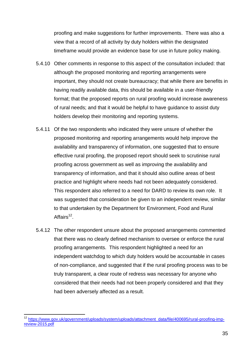proofing and make suggestions for further improvements. There was also a view that a record of all activity by duty holders within the designated timeframe would provide an evidence base for use in future policy making.

- 5.4.10 Other comments in response to this aspect of the consultation included: that although the proposed monitoring and reporting arrangements were important, they should not create bureaucracy; that while there are benefits in having readily available data, this should be available in a user-friendly format; that the proposed reports on rural proofing would increase awareness of rural needs; and that it would be helpful to have guidance to assist duty holders develop their monitoring and reporting systems.
- 5.4.11 Of the two respondents who indicated they were unsure of whether the proposed monitoring and reporting arrangements would help improve the availability and transparency of information, one suggested that to ensure effective rural proofing, the proposed report should seek to scrutinise rural proofing across government as well as improving the availability and transparency of information, and that it should also outline areas of best practice and highlight where needs had not been adequately considered. This respondent also referred to a need for DARD to review its own role. It was suggested that consideration be given to an independent review, similar to that undertaken by the Department for Environment, Food and Rural Affairs<sup>12</sup>.
- 5.4.12 The other respondent unsure about the proposed arrangements commented that there was no clearly defined mechanism to oversee or enforce the rural proofing arrangements. This respondent highlighted a need for an independent watchdog to which duty holders would be accountable in cases of non-compliance, and suggested that if the rural proofing process was to be truly transparent, a clear route of redress was necessary for anyone who considered that their needs had not been properly considered and that they had been adversely affected as a result.

**<sup>.</sup>** <sup>12</sup> [https://www.gov.uk/government/uploads/system/uploads/attachment\\_data/file/400695/rural-proofing-imp](https://www.gov.uk/government/uploads/system/uploads/attachment_data/file/400695/rural-proofing-imp-review-2015.pdf)[review-2015.pdf](https://www.gov.uk/government/uploads/system/uploads/attachment_data/file/400695/rural-proofing-imp-review-2015.pdf)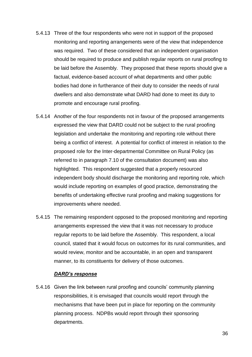- 5.4.13 Three of the four respondents who were not in support of the proposed monitoring and reporting arrangements were of the view that independence was required. Two of these considered that an independent organisation should be required to produce and publish regular reports on rural proofing to be laid before the Assembly. They proposed that these reports should give a factual, evidence-based account of what departments and other public bodies had done in furtherance of their duty to consider the needs of rural dwellers and also demonstrate what DARD had done to meet its duty to promote and encourage rural proofing.
- 5.4.14 Another of the four respondents not in favour of the proposed arrangements expressed the view that DARD could not be subject to the rural proofing legislation and undertake the monitoring and reporting role without there being a conflict of interest. A potential for conflict of interest in relation to the proposed role for the Inter-departmental Committee on Rural Policy (as referred to in paragraph 7.10 of the consultation document) was also highlighted. This respondent suggested that a properly resourced independent body should discharge the monitoring and reporting role, which would include reporting on examples of good practice, demonstrating the benefits of undertaking effective rural proofing and making suggestions for improvements where needed.
- 5.4.15 The remaining respondent opposed to the proposed monitoring and reporting arrangements expressed the view that it was not necessary to produce regular reports to be laid before the Assembly. This respondent, a local council, stated that it would focus on outcomes for its rural communities, and would review, monitor and be accountable, in an open and transparent manner, to its constituents for delivery of those outcomes.

#### *DARD's response*

5.4.16 Given the link between rural proofing and councils' community planning responsibilities, it is envisaged that councils would report through the mechanisms that have been put in place for reporting on the community planning process. NDPBs would report through their sponsoring departments.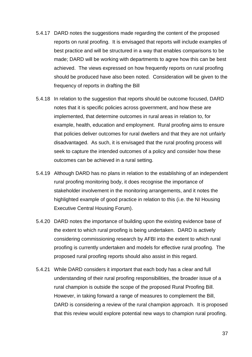- 5.4.17 DARD notes the suggestions made regarding the content of the proposed reports on rural proofing. It is envisaged that reports will include examples of best practice and will be structured in a way that enables comparisons to be made; DARD will be working with departments to agree how this can be best achieved. The views expressed on how frequently reports on rural proofing should be produced have also been noted. Consideration will be given to the frequency of reports in drafting the Bill
- 5.4.18 In relation to the suggestion that reports should be outcome focused, DARD notes that it is specific policies across government, and how these are implemented, that determine outcomes in rural areas in relation to, for example, health, education and employment. Rural proofing aims to ensure that policies deliver outcomes for rural dwellers and that they are not unfairly disadvantaged. As such, it is envisaged that the rural proofing process will seek to capture the intended outcomes of a policy and consider how these outcomes can be achieved in a rural setting.
- 5.4.19 Although DARD has no plans in relation to the establishing of an independent rural proofing monitoring body, it does recognise the importance of stakeholder involvement in the monitoring arrangements, and it notes the highlighted example of good practice in relation to this (i.e. the NI Housing Executive Central Housing Forum).
- 5.4.20 DARD notes the importance of building upon the existing evidence base of the extent to which rural proofing is being undertaken. DARD is actively considering commissioning research by AFBI into the extent to which rural proofing is currently undertaken and models for effective rural proofing. The proposed rural proofing reports should also assist in this regard.
- 5.4.21 While DARD considers it important that each body has a clear and full understanding of their rural proofing responsibilities, the broader issue of a rural champion is outside the scope of the proposed Rural Proofing Bill. However, in taking forward a range of measures to complement the Bill, DARD is considering a review of the rural champion approach. It is proposed that this review would explore potential new ways to champion rural proofing.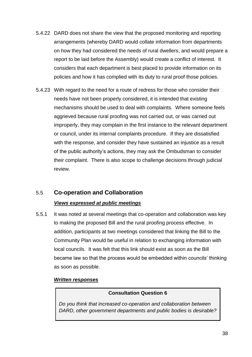- 5.4.22 DARD does not share the view that the proposed monitoring and reporting arrangements (whereby DARD would collate information from departments on how they had considered the needs of rural dwellers, and would prepare a report to be laid before the Assembly) would create a conflict of interest. It considers that each department is best placed to provide information on its policies and how it has complied with its duty to rural proof those policies.
- 5.4.23 With regard to the need for a route of redress for those who consider their needs have not been properly considered, it is intended that existing mechanisms should be used to deal with complaints. Where someone feels aggrieved because rural proofing was not carried out, or was carried out improperly, they may complain in the first instance to the relevant department or council, under its internal complaints procedure. If they are dissatisfied with the response, and consider they have sustained an injustice as a result of the public authority's actions, they may ask the Ombudsman to consider their complaint. There is also scope to challenge decisions through judicial review.

#### 5.5 **Co-operation and Collaboration**

#### *Views expressed at public meetings*

5.5.1 It was noted at several meetings that co-operation and collaboration was key to making the proposed Bill and the rural proofing process effective. In addition, participants at two meetings considered that linking the Bill to the Community Plan would be useful in relation to exchanging information with local councils. It was felt that this link should exist as soon as the Bill became law so that the process would be embedded within councils' thinking as soon as possible.

#### *Written responses*

#### **Consultation Question 6**

*Do you think that increased co-operation and collaboration between DARD, other government departments and public bodies is desirable?*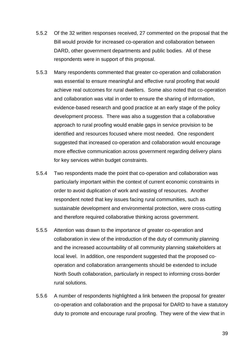- 5.5.2 Of the 32 written responses received, 27 commented on the proposal that the Bill would provide for increased co-operation and collaboration between DARD, other government departments and public bodies. All of these respondents were in support of this proposal.
- 5.5.3 Many respondents commented that greater co-operation and collaboration was essential to ensure meaningful and effective rural proofing that would achieve real outcomes for rural dwellers. Some also noted that co-operation and collaboration was vital in order to ensure the sharing of information, evidence-based research and good practice at an early stage of the policy development process. There was also a suggestion that a collaborative approach to rural proofing would enable gaps in service provision to be identified and resources focused where most needed. One respondent suggested that increased co-operation and collaboration would encourage more effective communication across government regarding delivery plans for key services within budget constraints.
- 5.5.4 Two respondents made the point that co-operation and collaboration was particularly important within the context of current economic constraints in order to avoid duplication of work and wasting of resources. Another respondent noted that key issues facing rural communities, such as sustainable development and environmental protection, were cross-cutting and therefore required collaborative thinking across government.
- 5.5.5 Attention was drawn to the importance of greater co-operation and collaboration in view of the introduction of the duty of community planning and the increased accountability of all community planning stakeholders at local level. In addition, one respondent suggested that the proposed cooperation and collaboration arrangements should be extended to include North South collaboration, particularly in respect to informing cross-border rural solutions.
- 5.5.6 A number of respondents highlighted a link between the proposal for greater co-operation and collaboration and the proposal for DARD to have a statutory duty to promote and encourage rural proofing. They were of the view that in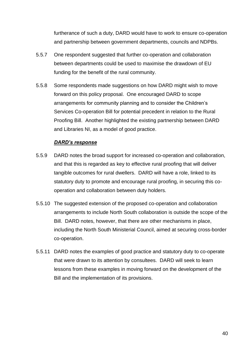furtherance of such a duty, DARD would have to work to ensure co-operation and partnership between government departments, councils and NDPBs.

- 5.5.7 One respondent suggested that further co-operation and collaboration between departments could be used to maximise the drawdown of EU funding for the benefit of the rural community.
- 5.5.8 Some respondents made suggestions on how DARD might wish to move forward on this policy proposal. One encouraged DARD to scope arrangements for community planning and to consider the Children's Services Co-operation Bill for potential precedent in relation to the Rural Proofing Bill. Another highlighted the existing partnership between DARD and Libraries NI, as a model of good practice.

#### *DARD's response*

- 5.5.9 DARD notes the broad support for increased co-operation and collaboration, and that this is regarded as key to effective rural proofing that will deliver tangible outcomes for rural dwellers. DARD will have a role, linked to its statutory duty to promote and encourage rural proofing, in securing this cooperation and collaboration between duty holders.
- 5.5.10 The suggested extension of the proposed co-operation and collaboration arrangements to include North South collaboration is outside the scope of the Bill. DARD notes, however, that there are other mechanisms in place, including the North South Ministerial Council, aimed at securing cross-border co-operation.
- 5.5.11 DARD notes the examples of good practice and statutory duty to co-operate that were drawn to its attention by consultees. DARD will seek to learn lessons from these examples in moving forward on the development of the Bill and the implementation of its provisions.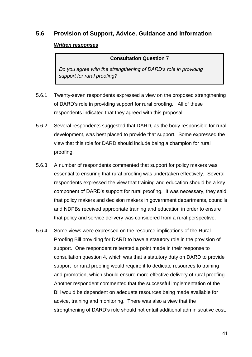#### **5.6 Provision of Support, Advice, Guidance and Information**

#### *Written responses*

#### **Consultation Question 7**

*Do you agree with the strengthening of DARD's role in providing support for rural proofing?*

- 5.6.1 Twenty-seven respondents expressed a view on the proposed strengthening of DARD's role in providing support for rural proofing. All of these respondents indicated that they agreed with this proposal.
- 5.6.2 Several respondents suggested that DARD, as the body responsible for rural development, was best placed to provide that support. Some expressed the view that this role for DARD should include being a champion for rural proofing.
- 5.6.3 A number of respondents commented that support for policy makers was essential to ensuring that rural proofing was undertaken effectively. Several respondents expressed the view that training and education should be a key component of DARD's support for rural proofing. It was necessary, they said, that policy makers and decision makers in government departments, councils and NDPBs received appropriate training and education in order to ensure that policy and service delivery was considered from a rural perspective.
- 5.6.4 Some views were expressed on the resource implications of the Rural Proofing Bill providing for DARD to have a statutory role in the provision of support. One respondent reiterated a point made in their response to consultation question 4, which was that a statutory duty on DARD to provide support for rural proofing would require it to dedicate resources to training and promotion, which should ensure more effective delivery of rural proofing. Another respondent commented that the successful implementation of the Bill would be dependent on adequate resources being made available for advice, training and monitoring. There was also a view that the strengthening of DARD's role should not entail additional administrative cost.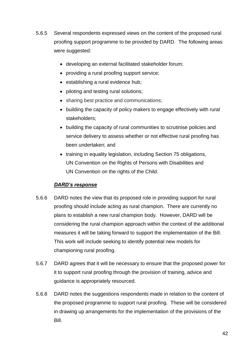- 5.6.5 Several respondents expressed views on the content of the proposed rural proofing support programme to be provided by DARD. The following areas were suggested:
	- developing an external facilitated stakeholder forum;
	- providing a rural proofing support service;
	- establishing a rural evidence hub;
	- piloting and testing rural solutions;
	- sharing best practice and communications;
	- building the capacity of policy makers to engage effectively with rural stakeholders;
	- building the capacity of rural communities to scrutinise policies and service delivery to assess whether or not effective rural proofing has been undertaken; and
	- training in equality legislation, including Section 75 obligations, UN Convention on the Rights of Persons with Disabilities and UN Convention on the rights of the Child.

#### *DARD's response*

- 5.6.6 DARD notes the view that its proposed role in providing support for rural proofing should include acting as rural champion. There are currently no plans to establish a new rural champion body. However, DARD will be considering the rural champion approach within the context of the additional measures it will be taking forward to support the implementation of the Bill. This work will include seeking to identify potential new models for championing rural proofing.
- 5.6.7 DARD agrees that it will be necessary to ensure that the proposed power for it to support rural proofing through the provision of training, advice and guidance is appropriately resourced.
- 5.6.8 DARD notes the suggestions respondents made in relation to the content of the proposed programme to support rural proofing. These will be considered in drawing up arrangements for the implementation of the provisions of the Bill.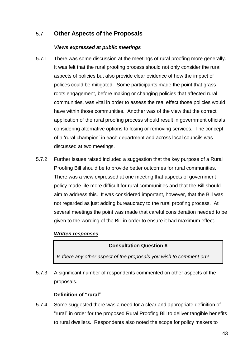#### 5.7 **Other Aspects of the Proposals**

#### *Views expressed at public meetings*

- 5.7.1 There was some discussion at the meetings of rural proofing more generally. It was felt that the rural proofing process should not only consider the rural aspects of policies but also provide clear evidence of how the impact of polices could be mitigated. Some participants made the point that grass roots engagement, before making or changing policies that affected rural communities, was vital in order to assess the real effect those policies would have within those communities. Another was of the view that the correct application of the rural proofing process should result in government officials considering alternative options to losing or removing services. The concept of a 'rural champion' in each department and across local councils was discussed at two meetings.
- 5.7.2 Further issues raised included a suggestion that the key purpose of a Rural Proofing Bill should be to provide better outcomes for rural communities. There was a view expressed at one meeting that aspects of government policy made life more difficult for rural communities and that the Bill should aim to address this. It was considered important, however, that the Bill was not regarded as just adding bureaucracy to the rural proofing process. At several meetings the point was made that careful consideration needed to be given to the wording of the Bill in order to ensure it had maximum effect.

#### *Written responses*

#### **Consultation Question 8**

*Is there any other aspect of the proposals you wish to comment on?*

5.7.3 A significant number of respondents commented on other aspects of the proposals.

#### **Definition of "rural"**

5.7.4 Some suggested there was a need for a clear and appropriate definition of "rural" in order for the proposed Rural Proofing Bill to deliver tangible benefits to rural dwellers. Respondents also noted the scope for policy makers to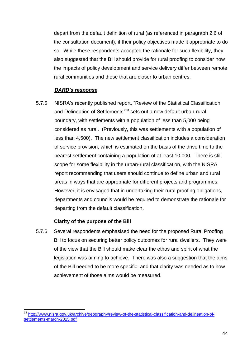depart from the default definition of rural (as referenced in paragraph 2.6 of the consultation document), if their policy objectives made it appropriate to do so. While these respondents accepted the rationale for such flexibility, they also suggested that the Bill should provide for rural proofing to consider how the impacts of policy development and service delivery differ between remote rural communities and those that are closer to urban centres.

#### *DARD's response*

5.7.5 NISRA's recently published report, "Review of the Statistical Classification and Delineation of Settlements<sup>"13</sup> sets out a new default urban-rural boundary, with settlements with a population of less than 5,000 being considered as rural. (Previously, this was settlements with a population of less than 4,500). The new settlement classification includes a consideration of service provision, which is estimated on the basis of the drive time to the nearest settlement containing a population of at least 10,000. There is still scope for some flexibility in the urban-rural classification, with the NISRA report recommending that users should continue to define urban and rural areas in ways that are appropriate for different projects and programmes. However, it is envisaged that in undertaking their rural proofing obligations, departments and councils would be required to demonstrate the rationale for departing from the default classification.

#### **Clarity of the purpose of the Bill**

 $\overline{\phantom{a}}$ 

5.7.6 Several respondents emphasised the need for the proposed Rural Proofing Bill to focus on securing better policy outcomes for rural dwellers. They were of the view that the Bill should make clear the ethos and spirit of what the legislation was aiming to achieve. There was also a suggestion that the aims of the Bill needed to be more specific, and that clarity was needed as to how achievement of those aims would be measured.

<sup>&</sup>lt;sup>13</sup> [http://www.nisra.gov.uk/archive/geography/review-of-the-statistical-classification-and-delineation-of](http://www.nisra.gov.uk/archive/geography/review-of-the-statistical-classification-and-delineation-of-settlements-march-2015.pdf)[settlements-march-2015.pdf](http://www.nisra.gov.uk/archive/geography/review-of-the-statistical-classification-and-delineation-of-settlements-march-2015.pdf)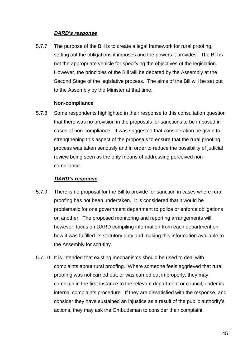#### *DARD's response*

5.7.7 The purpose of the Bill is to create a legal framework for rural proofing, setting out the obligations it imposes and the powers it provides. The Bill is not the appropriate vehicle for specifying the objectives of the legislation. However, the principles of the Bill will be debated by the Assembly at the Second Stage of the legislative process. The aims of the Bill will be set out to the Assembly by the Minister at that time.

#### **Non-compliance**

5.7.8 Some respondents highlighted in their response to this consultation question that there was no provision in the proposals for sanctions to be imposed in cases of non-compliance. It was suggested that consideration be given to strengthening this aspect of the proposals to ensure that the rural proofing process was taken seriously and in order to reduce the possibility of judicial review being seen as the only means of addressing perceived noncompliance.

#### *DARD's response*

- 5.7.9 There is no proposal for the Bill to provide for sanction in cases where rural proofing has not been undertaken. It is considered that it would be problematic for one government department to police or enforce obligations on another. The proposed monitoring and reporting arrangements will, however, focus on DARD compiling information from each department on how it was fulfilled its statutory duty and making this information available to the Assembly for scrutiny.
- 5.7.10 It is intended that existing mechanisms should be used to deal with complaints about rural proofing. Where someone feels aggrieved that rural proofing was not carried out, or was carried out improperly, they may complain in the first instance to the relevant department or council, under its internal complaints procedure. If they are dissatisfied with the response, and consider they have sustained an injustice as a result of the public authority's actions, they may ask the Ombudsman to consider their complaint.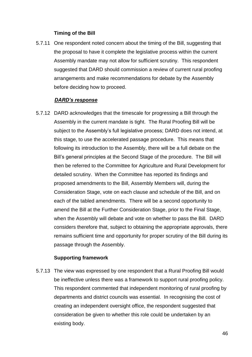#### **Timing of the Bill**

5.7.11 One respondent noted concern about the timing of the Bill, suggesting that the proposal to have it complete the legislative process within the current Assembly mandate may not allow for sufficient scrutiny. This respondent suggested that DARD should commission a review of current rural proofing arrangements and make recommendations for debate by the Assembly before deciding how to proceed.

#### *DARD's response*

5.7.12 DARD acknowledges that the timescale for progressing a Bill through the Assembly in the current mandate is tight. The Rural Proofing Bill will be subject to the Assembly's full legislative process; DARD does not intend, at this stage, to use the accelerated passage procedure. This means that following its introduction to the Assembly, there will be a full debate on the Bill's general principles at the Second Stage of the procedure. The Bill will then be referred to the Committee for Agriculture and Rural Development for detailed scrutiny. When the Committee has reported its findings and proposed amendments to the Bill, Assembly Members will, during the Consideration Stage, vote on each clause and schedule of the Bill, and on each of the tabled amendments. There will be a second opportunity to amend the Bill at the Further Consideration Stage, prior to the Final Stage, when the Assembly will debate and vote on whether to pass the Bill. DARD considers therefore that, subject to obtaining the appropriate approvals, there remains sufficient time and opportunity for proper scrutiny of the Bill during its passage through the Assembly.

#### **Supporting framework**

5.7.13 The view was expressed by one respondent that a Rural Proofing Bill would be ineffective unless there was a framework to support rural proofing policy. This respondent commented that independent monitoring of rural proofing by departments and district councils was essential. In recognising the cost of creating an independent oversight office, the respondent suggested that consideration be given to whether this role could be undertaken by an existing body.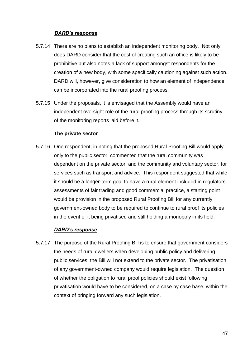#### *DARD's response*

- 5.7.14 There are no plans to establish an independent monitoring body. Not only does DARD consider that the cost of creating such an office is likely to be prohibitive but also notes a lack of support amongst respondents for the creation of a new body, with some specifically cautioning against such action. DARD will, however, give consideration to how an element of independence can be incorporated into the rural proofing process.
- 5.7.15 Under the proposals, it is envisaged that the Assembly would have an independent oversight role of the rural proofing process through its scrutiny of the monitoring reports laid before it.

#### **The private sector**

5.7.16 One respondent, in noting that the proposed Rural Proofing Bill would apply only to the public sector, commented that the rural community was dependent on the private sector, and the community and voluntary sector, for services such as transport and advice. This respondent suggested that while it should be a longer-term goal to have a rural element included in regulators' assessments of fair trading and good commercial practice, a starting point would be provision in the proposed Rural Proofing Bill for any currently government-owned body to be required to continue to rural proof its policies in the event of it being privatised and still holding a monopoly in its field.

#### *DARD's response*

5.7.17 The purpose of the Rural Proofing Bill is to ensure that government considers the needs of rural dwellers when developing public policy and delivering public services; the Bill will not extend to the private sector. The privatisation of any government-owned company would require legislation. The question of whether the obligation to rural proof policies should exist following privatisation would have to be considered, on a case by case base, within the context of bringing forward any such legislation.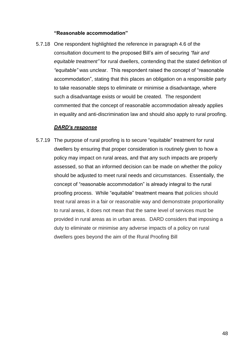#### **"Reasonable accommodation"**

5.7.18 One respondent highlighted the reference in paragraph 4.6 of the consultation document to the proposed Bill's aim of securing *"fair and equitable treatment"* for rural dwellers, contending that the stated definition of *"equitable"* was unclear. This respondent raised the concept of "reasonable accommodation", stating that this places an obligation on a responsible party to take reasonable steps to eliminate or minimise a disadvantage, where such a disadvantage exists or would be created. The respondent commented that the concept of reasonable accommodation already applies in equality and anti-discrimination law and should also apply to rural proofing.

#### *DARD's response*

5.7.19 The purpose of rural proofing is to secure "equitable" treatment for rural dwellers by ensuring that proper consideration is routinely given to how a policy may impact on rural areas, and that any such impacts are properly assessed, so that an informed decision can be made on whether the policy should be adjusted to meet rural needs and circumstances. Essentially, the concept of "reasonable accommodation" is already integral to the rural proofing process. While "equitable" treatment means that policies should treat rural areas in a fair or reasonable way and demonstrate proportionality to rural areas, it does not mean that the same level of services must be provided in rural areas as in urban areas. DARD considers that imposing a duty to eliminate or minimise any adverse impacts of a policy on rural dwellers goes beyond the aim of the Rural Proofing Bill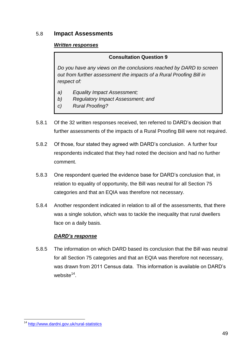#### 5.8 **Impact Assessments**

#### *Written responses*

#### **Consultation Question 9**

*Do you have any views on the conclusions reached by DARD to screen out from further assessment the impacts of a Rural Proofing Bill in respect of:*

- *a) Equality Impact Assessment;*
- *b) Regulatory Impact Assessment; and*
- *c) Rural Proofing?*
- 5.8.1 Of the 32 written responses received, ten referred to DARD's decision that further assessments of the impacts of a Rural Proofing Bill were not required.
- 5.8.2 Of those, four stated they agreed with DARD's conclusion. A further four respondents indicated that they had noted the decision and had no further comment.
- 5.8.3 One respondent queried the evidence base for DARD's conclusion that, in relation to equality of opportunity, the Bill was neutral for all Section 75 categories and that an EQIA was therefore not necessary.
- 5.8.4 Another respondent indicated in relation to all of the assessments, that there was a single solution, which was to tackle the inequality that rural dwellers face on a daily basis.

#### *DARD's response*

5.8.5 The information on which DARD based its conclusion that the Bill was neutral for all Section 75 categories and that an EQIA was therefore not necessary, was drawn from 2011 Census data. This information is available on DARD's website<sup>14</sup>.

**<sup>.</sup>** <sup>14</sup> <http://www.dardni.gov.uk/rural-statistics>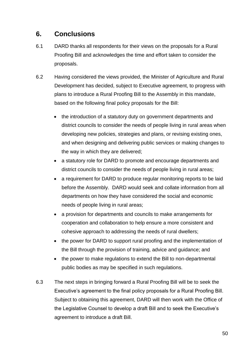### **6. Conclusions**

- 6.1 DARD thanks all respondents for their views on the proposals for a Rural Proofing Bill and acknowledges the time and effort taken to consider the proposals.
- 6.2 Having considered the views provided, the Minister of Agriculture and Rural Development has decided, subject to Executive agreement, to progress with plans to introduce a Rural Proofing Bill to the Assembly in this mandate, based on the following final policy proposals for the Bill:
	- the introduction of a statutory duty on government departments and district councils to consider the needs of people living in rural areas when developing new policies, strategies and plans, or revising existing ones, and when designing and delivering public services or making changes to the way in which they are delivered;
	- a statutory role for DARD to promote and encourage departments and district councils to consider the needs of people living in rural areas;
	- a requirement for DARD to produce regular monitoring reports to be laid before the Assembly. DARD would seek and collate information from all departments on how they have considered the social and economic needs of people living in rural areas;
	- a provision for departments and councils to make arrangements for cooperation and collaboration to help ensure a more consistent and cohesive approach to addressing the needs of rural dwellers;
	- the power for DARD to support rural proofing and the implementation of the Bill through the provision of training, advice and guidance; and
	- the power to make regulations to extend the Bill to non-departmental public bodies as may be specified in such regulations.
- 6.3 The next steps in bringing forward a Rural Proofing Bill will be to seek the Executive's agreement to the final policy proposals for a Rural Proofing Bill. Subject to obtaining this agreement, DARD will then work with the Office of the Legislative Counsel to develop a draft Bill and to seek the Executive's agreement to introduce a draft Bill.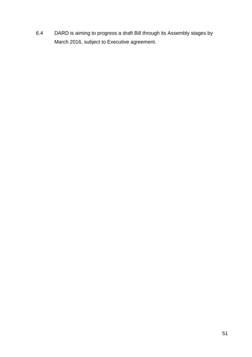6.4 DARD is aiming to progress a draft Bill through its Assembly stages by March 2016, subject to Executive agreement.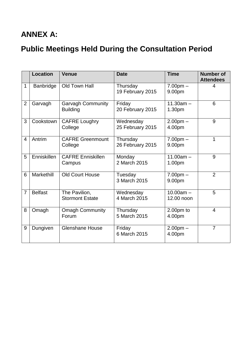# **ANNEX A:**

# **Public Meetings Held During the Consultation Period**

|                | <b>Location</b> | <b>Venue</b>                                | <b>Date</b>                   | <b>Time</b>               | <b>Number of</b><br><b>Attendees</b> |
|----------------|-----------------|---------------------------------------------|-------------------------------|---------------------------|--------------------------------------|
| 1              | Banbridge       | Old Town Hall                               | Thursday<br>19 February 2015  | $7.00pm -$<br>9.00pm      | 4                                    |
| $\overline{2}$ | Garvagh         | <b>Garvagh Community</b><br><b>Building</b> | Friday<br>20 February 2015    | $11.30am -$<br>1.30pm     | 6                                    |
| 3              | Cookstown       | <b>CAFRE Loughry</b><br>College             | Wednesday<br>25 February 2015 | $2.00pm -$<br>4.00pm      | 9                                    |
| $\overline{4}$ | Antrim          | <b>CAFRE Greenmount</b><br>College          | Thursday<br>26 February 2015  | $7.00pm -$<br>9.00pm      | 1                                    |
| 5              | Enniskillen     | <b>CAFRE Enniskillen</b><br>Campus          | Monday<br>2 March 2015        | $11.00am -$<br>1.00pm     | 9                                    |
| 6              | Markethill      | <b>Old Court House</b>                      | Tuesday<br>3 March 2015       | $7.00pm -$<br>9.00pm      | $\overline{2}$                       |
| $\overline{7}$ | <b>Belfast</b>  | The Pavilion,<br><b>Stormont Estate</b>     | Wednesday<br>4 March 2015     | $10.00am -$<br>12.00 noon | 5                                    |
| 8              | Omagh           | <b>Omagh Community</b><br>Forum             | Thursday<br>5 March 2015      | $2.00pm$ to<br>4.00pm     | $\overline{4}$                       |
| 9              | Dungiven        | <b>Glenshane House</b>                      | Friday<br>6 March 2015        | $2.00pm -$<br>4.00pm      | $\overline{7}$                       |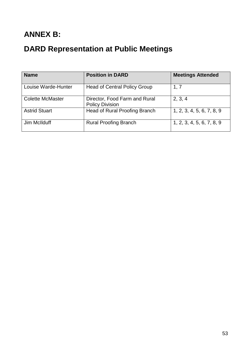# **ANNEX B:**

# **DARD Representation at Public Meetings**

| <b>Name</b>             | <b>Position in DARD</b>                                 | <b>Meetings Attended</b>  |
|-------------------------|---------------------------------------------------------|---------------------------|
| Louise Warde-Hunter     | <b>Head of Central Policy Group</b>                     | 1, 7                      |
| <b>Colette McMaster</b> | Director, Food Farm and Rural<br><b>Policy Division</b> | 2, 3, 4                   |
| <b>Astrid Stuart</b>    | <b>Head of Rural Proofing Branch</b>                    | 1, 2, 3, 4, 5, 6, 7, 8, 9 |
| Jim McIlduff            | <b>Rural Proofing Branch</b>                            | 1, 2, 3, 4, 5, 6, 7, 8, 9 |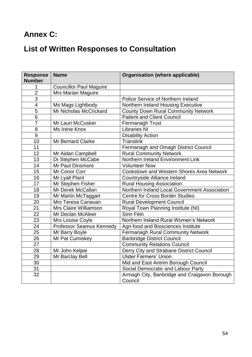## **Annex C:**

# **List of Written Responses to Consultation**

| <b>Response</b><br><b>Number</b> | <b>Name</b>                     | <b>Organisation (where applicable)</b>        |
|----------------------------------|---------------------------------|-----------------------------------------------|
| 1                                | <b>Councillor Paul Maguire</b>  |                                               |
| $\overline{2}$                   | Mrs Marian Maguire              |                                               |
| $\overline{3}$                   |                                 | Police Service of Northern Ireland            |
| $\overline{4}$                   | Ms Mags Lightbody               | Northern Ireland Housing Executive            |
| $\overline{5}$                   | Mr Nicholas McCrickard          | <b>County Down Rural Community Network</b>    |
| $\overline{6}$                   |                                 | <b>Patient and Client Council</b>             |
| $\overline{7}$                   | Mr Lauri McCusker               | Fermanagh Trust                               |
| $\overline{8}$                   | Ms Irene Knox                   | <b>Libraries NI</b>                           |
| 9                                |                                 | <b>Disability Action</b>                      |
| 10                               | <b>Mr Bernard Clarke</b>        | <b>Translink</b>                              |
| 11                               |                                 | Fermanagh and Omagh District Council          |
| 12                               | Mr Aidan Campbell               | <b>Rural Community Network</b>                |
| 13                               | Dr Stephen McCabe               | Northern Ireland Environment Link             |
| 14                               | Mr Paul Dinsmore                | <b>Volunteer Now</b>                          |
| 15                               | Mr Conor Corr                   | Cookstown and Western Shores Area Network     |
| 16                               | Mr Lyall Plant                  | Countryside Alliance Ireland                  |
| 17                               | Mr Stephen Fisher               | <b>Rural Housing Association</b>              |
| 18                               | Mr Derek McCallan               | Northern Ireland Local Government Association |
| 19                               | Mr Martin McTaggart             | <b>Centre for Cross Border Studies</b>        |
| $\overline{20}$                  | Mrs Teresa Canavan              | <b>Rural Development Council</b>              |
| $\overline{21}$                  | Mrs Claire Williamson           | Royal Town Planning Institute (NI)            |
| 22                               | Mr Declan McAleer               | Sinn Féin                                     |
| 23                               | Mrs Louise Coyle                | Northern Ireland Rural Women's Network        |
| 24                               | <b>Professor Seamus Kennedy</b> | Agri-food and Biosciences Institute           |
| 25                               | Mr Barry Boyle                  | <b>Fermanagh Rural Community Network</b>      |
| 26                               | Mr Pat Cumiskey                 | <b>Banbridge District Council</b>             |
| 27                               |                                 | <b>Community Relations Council</b>            |
| 28                               | Mr John Kelpie                  | Derry City and Strabane District Council      |
| 29                               | Mr Barclay Bell                 | <b>Ulster Farmers' Union</b>                  |
| 30                               |                                 | Mid and East Antrim Borough Council           |
| 31                               |                                 | Social Democratic and Labour Party            |
| $\overline{32}$                  |                                 | Armagh City, Banbridge and Craigavon Borough  |
|                                  |                                 | Council                                       |